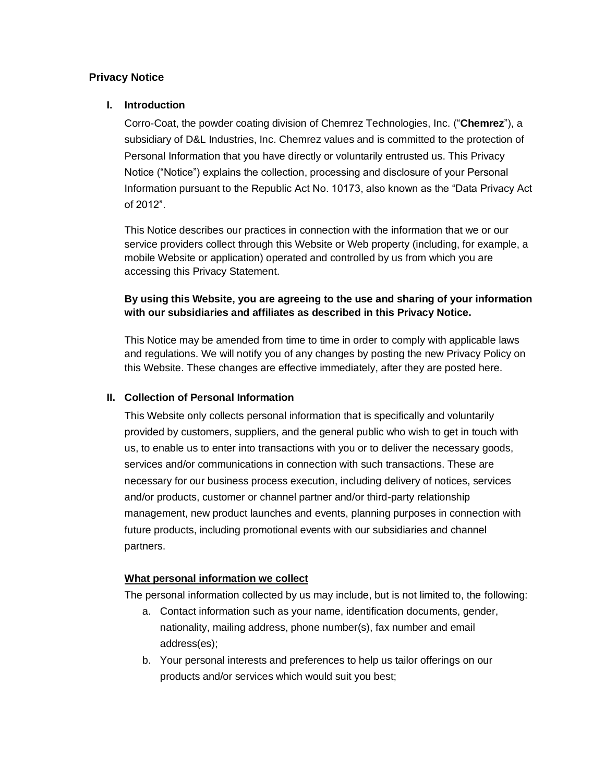# **Privacy Notice**

### **I. Introduction**

Corro-Coat, the powder coating division of Chemrez Technologies, Inc. ("**Chemrez**"), a subsidiary of D&L Industries, Inc. Chemrez values and is committed to the protection of Personal Information that you have directly or voluntarily entrusted us. This Privacy Notice ("Notice") explains the collection, processing and disclosure of your Personal Information pursuant to the Republic Act No. 10173, also known as the "Data Privacy Act of 2012".

This Notice describes our practices in connection with the information that we or our service providers collect through this Website or Web property (including, for example, a mobile Website or application) operated and controlled by us from which you are accessing this Privacy Statement.

# **By using this Website, you are agreeing to the use and sharing of your information with our subsidiaries and affiliates as described in this Privacy Notice.**

This Notice may be amended from time to time in order to comply with applicable laws and regulations. We will notify you of any changes by posting the new Privacy Policy on this Website. These changes are effective immediately, after they are posted here.

#### **II. Collection of Personal Information**

This Website only collects personal information that is specifically and voluntarily provided by customers, suppliers, and the general public who wish to get in touch with us, to enable us to enter into transactions with you or to deliver the necessary goods, services and/or communications in connection with such transactions. These are necessary for our business process execution, including delivery of notices, services and/or products, customer or channel partner and/or third-party relationship management, new product launches and events, planning purposes in connection with future products, including promotional events with our subsidiaries and channel partners.

#### **What personal information we collect**

The personal information collected by us may include, but is not limited to, the following:

- a. Contact information such as your name, identification documents, gender, nationality, mailing address, phone number(s), fax number and email address(es);
- b. Your personal interests and preferences to help us tailor offerings on our products and/or services which would suit you best;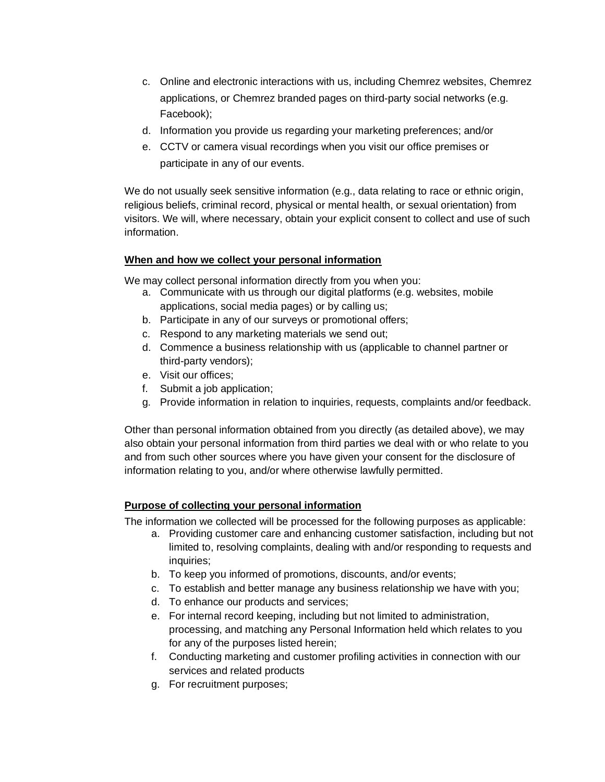- c. Online and electronic interactions with us, including Chemrez websites, Chemrez applications, or Chemrez branded pages on third-party social networks (e.g. Facebook);
- d. Information you provide us regarding your marketing preferences; and/or
- e. CCTV or camera visual recordings when you visit our office premises or participate in any of our events.

We do not usually seek sensitive information (e.g., data relating to race or ethnic origin, religious beliefs, criminal record, physical or mental health, or sexual orientation) from visitors. We will, where necessary, obtain your explicit consent to collect and use of such information.

## **When and how we collect your personal information**

We may collect personal information directly from you when you:

- a. Communicate with us through our digital platforms (e.g. websites, mobile applications, social media pages) or by calling us;
- b. Participate in any of our surveys or promotional offers;
- c. Respond to any marketing materials we send out;
- d. Commence a business relationship with us (applicable to channel partner or third-party vendors);
- e. Visit our offices;
- f. Submit a job application;
- g. Provide information in relation to inquiries, requests, complaints and/or feedback.

Other than personal information obtained from you directly (as detailed above), we may also obtain your personal information from third parties we deal with or who relate to you and from such other sources where you have given your consent for the disclosure of information relating to you, and/or where otherwise lawfully permitted.

# **Purpose of collecting your personal information**

The information we collected will be processed for the following purposes as applicable:

- a. Providing customer care and enhancing customer satisfaction, including but not limited to, resolving complaints, dealing with and/or responding to requests and inquiries;
- b. To keep you informed of promotions, discounts, and/or events;
- c. To establish and better manage any business relationship we have with you;
- d. To enhance our products and services;
- e. For internal record keeping, including but not limited to administration, processing, and matching any Personal Information held which relates to you for any of the purposes listed herein;
- f. Conducting marketing and customer profiling activities in connection with our services and related products
- g. For recruitment purposes;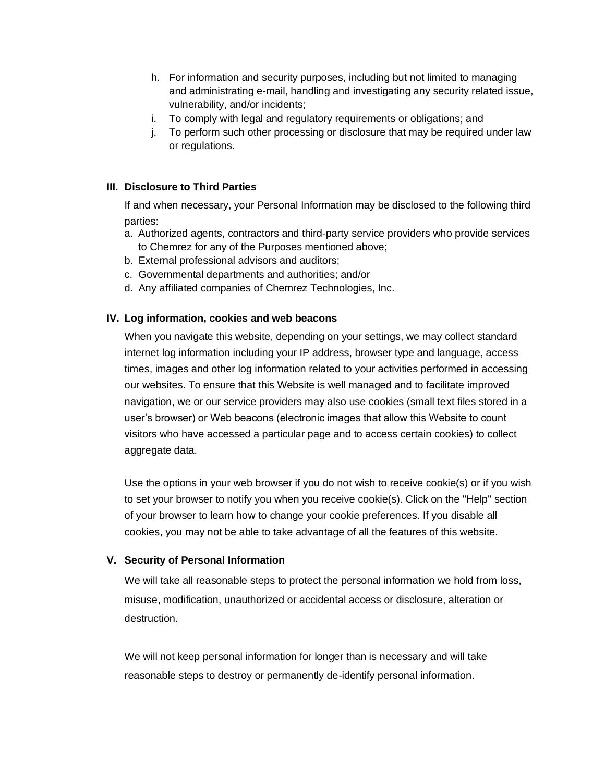- h. For information and security purposes, including but not limited to managing and administrating e-mail, handling and investigating any security related issue, vulnerability, and/or incidents;
- i. To comply with legal and regulatory requirements or obligations; and
- j. To perform such other processing or disclosure that may be required under law or regulations.

## **III. Disclosure to Third Parties**

If and when necessary, your Personal Information may be disclosed to the following third parties:

- a. Authorized agents, contractors and third-party service providers who provide services to Chemrez for any of the Purposes mentioned above;
- b. External professional advisors and auditors;
- c. Governmental departments and authorities; and/or
- d. Any affiliated companies of Chemrez Technologies, Inc.

## **IV. Log information, cookies and web beacons**

When you navigate this website, depending on your settings, we may collect standard internet log information including your IP address, browser type and language, access times, images and other log information related to your activities performed in accessing our websites. To ensure that this Website is well managed and to facilitate improved navigation, we or our service providers may also use cookies (small text files stored in a user's browser) or Web beacons (electronic images that allow this Website to count visitors who have accessed a particular page and to access certain cookies) to collect aggregate data.

Use the options in your web browser if you do not wish to receive cookie(s) or if you wish to set your browser to notify you when you receive cookie(s). Click on the "Help" section of your browser to learn how to change your cookie preferences. If you disable all cookies, you may not be able to take advantage of all the features of this website.

#### **V. Security of Personal Information**

We will take all reasonable steps to protect the personal information we hold from loss, misuse, modification, unauthorized or accidental access or disclosure, alteration or destruction.

We will not keep personal information for longer than is necessary and will take reasonable steps to destroy or permanently de-identify personal information.